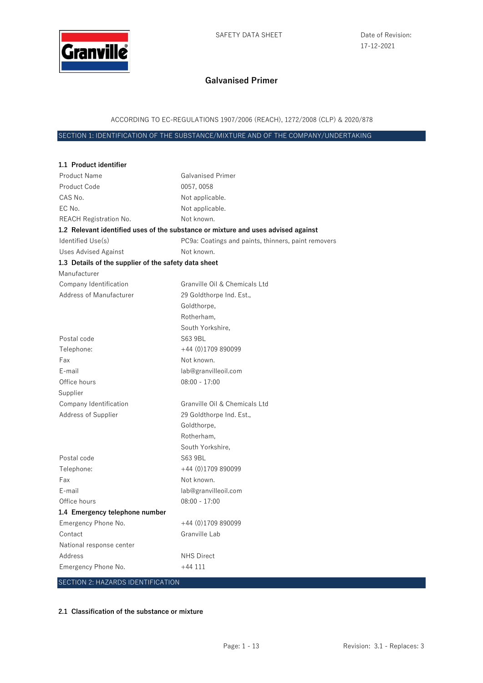

ACCORDING TO EC-REGULATIONS 1907/2006 (REACH), 1272/2008 (CLP) & 2020/878

SECTION 1: IDENTIFICATION OF THE SUBSTANCE/MIXTURE AND OF THE COMPANY/UNDERTAKING

| 1.1 Product identifier                               |                                                                                   |
|------------------------------------------------------|-----------------------------------------------------------------------------------|
| <b>Product Name</b>                                  | <b>Galvanised Primer</b>                                                          |
| Product Code                                         | 0057,0058                                                                         |
| CAS No.                                              | Not applicable.                                                                   |
| EC No.                                               | Not applicable.                                                                   |
| REACH Registration No.                               | Not known.                                                                        |
|                                                      | 1.2 Relevant identified uses of the substance or mixture and uses advised against |
| Identified Use(s)                                    | PC9a: Coatings and paints, thinners, paint removers                               |
| <b>Uses Advised Against</b>                          | Not known.                                                                        |
| 1.3 Details of the supplier of the safety data sheet |                                                                                   |
| Manufacturer                                         |                                                                                   |
| Company Identification                               | Granville Oil & Chemicals Ltd                                                     |
| Address of Manufacturer                              | 29 Goldthorpe Ind. Est.,                                                          |
|                                                      | Goldthorpe,                                                                       |
|                                                      | Rotherham,                                                                        |
|                                                      | South Yorkshire,                                                                  |
| Postal code                                          | S63 9BL                                                                           |
| Telephone:                                           | $+44(0)1709890099$                                                                |
| Fax                                                  | Not known.                                                                        |
| E-mail                                               | lab@granvilleoil.com                                                              |
| Office hours                                         | $08:00 - 17:00$                                                                   |
| Supplier                                             |                                                                                   |
| Company Identification                               | Granville Oil & Chemicals Ltd                                                     |
| Address of Supplier                                  | 29 Goldthorpe Ind. Est.,                                                          |
|                                                      | Goldthorpe,                                                                       |
|                                                      | Rotherham,                                                                        |
|                                                      | South Yorkshire,                                                                  |
| Postal code                                          | S63 9BL                                                                           |
| Telephone:                                           | $+44$ (0)1709 890099                                                              |
| Fax                                                  | Not known.                                                                        |
| E-mail                                               | lab@granvilleoil.com                                                              |
| Office hours                                         | $08:00 - 17:00$                                                                   |
| 1.4 Emergency telephone number                       |                                                                                   |
| Emergency Phone No.                                  | $+44(0)1709890099$                                                                |
| Contact                                              | Granville Lab                                                                     |
| National response center                             |                                                                                   |
| Address                                              | <b>NHS Direct</b>                                                                 |
| Emergency Phone No.                                  | $+44111$                                                                          |
| SECTION 2: HAZARDS IDENTIFICATION                    |                                                                                   |

#### **2.1 Classification of the substance or mixture**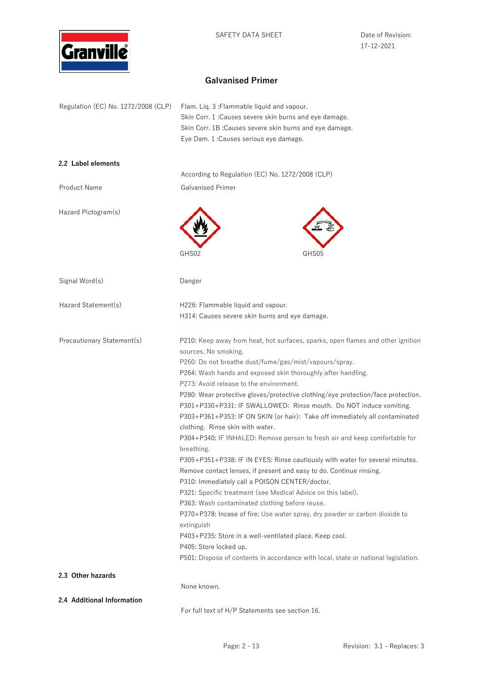

17-12-2021

# **Galvanised Primer**

| Regulation (EC) No. 1272/2008 (CLP) | Flam. Lig. 3: Flammable liquid and vapour.<br>Skin Corr. 1: Causes severe skin burns and eye damage.<br>Skin Corr. 1B: Causes severe skin burns and eye damage.<br>Eye Dam. 1 : Causes serious eye damage.                                                                                                                                                                                                                                                                                                                                                                                                                                                                                                                                                                                                                                                                                                                                                                                                                                                                                                                                                                                                                                               |  |  |  |
|-------------------------------------|----------------------------------------------------------------------------------------------------------------------------------------------------------------------------------------------------------------------------------------------------------------------------------------------------------------------------------------------------------------------------------------------------------------------------------------------------------------------------------------------------------------------------------------------------------------------------------------------------------------------------------------------------------------------------------------------------------------------------------------------------------------------------------------------------------------------------------------------------------------------------------------------------------------------------------------------------------------------------------------------------------------------------------------------------------------------------------------------------------------------------------------------------------------------------------------------------------------------------------------------------------|--|--|--|
| 2.2 Label elements                  | According to Regulation (EC) No. 1272/2008 (CLP)                                                                                                                                                                                                                                                                                                                                                                                                                                                                                                                                                                                                                                                                                                                                                                                                                                                                                                                                                                                                                                                                                                                                                                                                         |  |  |  |
| Product Name                        | <b>Galvanised Primer</b>                                                                                                                                                                                                                                                                                                                                                                                                                                                                                                                                                                                                                                                                                                                                                                                                                                                                                                                                                                                                                                                                                                                                                                                                                                 |  |  |  |
| Hazard Pictogram(s)                 |                                                                                                                                                                                                                                                                                                                                                                                                                                                                                                                                                                                                                                                                                                                                                                                                                                                                                                                                                                                                                                                                                                                                                                                                                                                          |  |  |  |
|                                     | GHS02<br>GHS05                                                                                                                                                                                                                                                                                                                                                                                                                                                                                                                                                                                                                                                                                                                                                                                                                                                                                                                                                                                                                                                                                                                                                                                                                                           |  |  |  |
| Signal Word(s)                      | Danger                                                                                                                                                                                                                                                                                                                                                                                                                                                                                                                                                                                                                                                                                                                                                                                                                                                                                                                                                                                                                                                                                                                                                                                                                                                   |  |  |  |
| Hazard Statement(s)                 | H226: Flammable liquid and vapour.<br>H314: Causes severe skin burns and eye damage.                                                                                                                                                                                                                                                                                                                                                                                                                                                                                                                                                                                                                                                                                                                                                                                                                                                                                                                                                                                                                                                                                                                                                                     |  |  |  |
| Precautionary Statement(s)          | P210: Keep away from heat, hot surfaces, sparks, open flames and other ignition<br>sources. No smoking.<br>P260: Do not breathe dust/fume/gas/mist/vapours/spray.<br>P264: Wash hands and exposed skin thoroughly after handling.<br>P273: Avoid release to the environment.<br>P280: Wear protective gloves/protective clothing/eye protection/face protection.<br>P301+P330+P331: IF SWALLOWED: Rinse mouth. Do NOT induce vomiting.<br>P303+P361+P353: IF ON SKIN (or hair): Take off immediately all contaminated<br>clothing. Rinse skin with water.<br>P304+P340: IF INHALED: Remove person to fresh air and keep comfortable for<br>breathing.<br>P305+P351+P338: IF IN EYES: Rinse cautiously with water for several minutes.<br>Remove contact lenses, if present and easy to do. Continue rinsing.<br>P310: Immediately call a POISON CENTER/doctor.<br>P321: Specific treatment (see Medical Advice on this label).<br>P363: Wash contaminated clothing before reuse.<br>P370+P378: Incase of fire: Use water spray, dry powder or carbon dioxide to<br>extinguish<br>P403+P235: Store in a well-ventilated place. Keep cool.<br>P405: Store locked up.<br>P501: Dispose of contents in accordance with local, state or national legislation. |  |  |  |
| 2.3 Other hazards                   | None known.                                                                                                                                                                                                                                                                                                                                                                                                                                                                                                                                                                                                                                                                                                                                                                                                                                                                                                                                                                                                                                                                                                                                                                                                                                              |  |  |  |
| 2.4 Additional Information          | For full text of H/P Statements see section 16.                                                                                                                                                                                                                                                                                                                                                                                                                                                                                                                                                                                                                                                                                                                                                                                                                                                                                                                                                                                                                                                                                                                                                                                                          |  |  |  |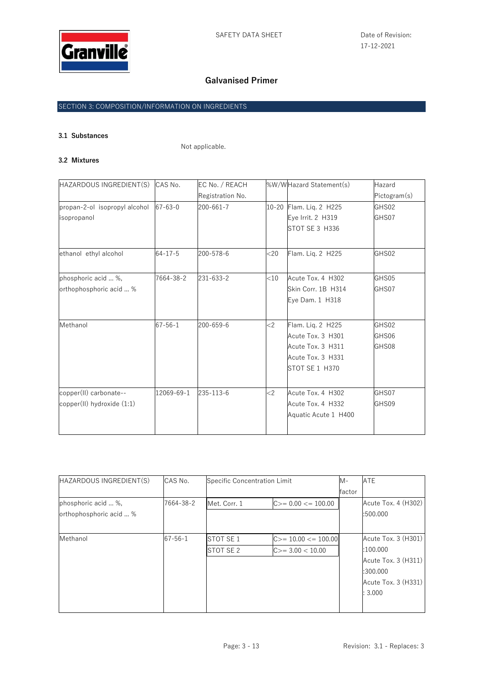

## SECTION 3: COMPOSITION/INFORMATION ON INGREDIENTS

# **3.1 Substances**

Not applicable.

#### **3.2 Mixtures**

| HAZARDOUS INGREDIENT(S)       | CAS No.       | EC No. / REACH   |        | %W/WHazard Statement(s) | Hazard       |
|-------------------------------|---------------|------------------|--------|-------------------------|--------------|
|                               |               | Registration No. |        |                         | Pictogram(s) |
| propan-2-ol isopropyl alcohol | $67 - 63 - 0$ | 200-661-7        |        | 10-20 Flam. Liq. 2 H225 | GHS02        |
| isopropanol                   |               |                  |        | Eye Irrit. 2 H319       | GHS07        |
|                               |               |                  |        | <b>STOT SE 3 H336</b>   |              |
| ethanol ethyl alcohol         | $64 - 17 - 5$ | 200-578-6        | $<$ 20 | Flam. Liq. 2 H225       | GHS02        |
| phosphoric acid  %,           | 7664-38-2     | 231-633-2        | $<$ 10 | Acute Tox. 4 H302       | GHS05        |
| orthophosphoric acid  %       |               |                  |        | Skin Corr. 1B H314      | GHS07        |
|                               |               |                  |        | Eye Dam. 1 H318         |              |
| Methanol                      | $67 - 56 - 1$ | 200-659-6        | $<$ 2  | Flam. Liq. 2 H225       | GHS02        |
|                               |               |                  |        | Acute Tox. 3 H301       | GHS06        |
|                               |               |                  |        | Acute Tox. 3 H311       | GHS08        |
|                               |               |                  |        | Acute Tox. 3 H331       |              |
|                               |               |                  |        | STOT SE 1 H370          |              |
| copper(II) carbonate--        | 12069-69-1    | 235-113-6        | $<$ 2  | Acute Tox. 4 H302       | GHS07        |
| copper(II) hydroxide (1:1)    |               |                  |        | Acute Tox. 4 H332       | GHS09        |
|                               |               |                  |        | Aquatic Acute 1 H400    |              |

| HAZARDOUS INGREDIENT(S)                        | CAS No.       | Specific Concentration Limit |                                            | M-     | ATE                                                                                                |
|------------------------------------------------|---------------|------------------------------|--------------------------------------------|--------|----------------------------------------------------------------------------------------------------|
|                                                |               |                              |                                            | factor |                                                                                                    |
| phosphoric acid  %,<br>orthophosphoric acid  % | 7664-38-2     | Met. Corr. 1                 | $C>= 0.00 <= 100.00$                       |        | Acute Tox. 4 (H302)<br>:500.000                                                                    |
| Methanol                                       | $67 - 56 - 1$ | STOT SE 1<br>STOT SE 2       | $C>= 10.00 <= 100.00$<br>$C>=3.00 < 10.00$ |        | Acute Tox. 3 (H301)<br>:100.000<br>Acute Tox. 3 (H311)<br>:300.000<br>Acute Tox. 3 (H331)<br>3.000 |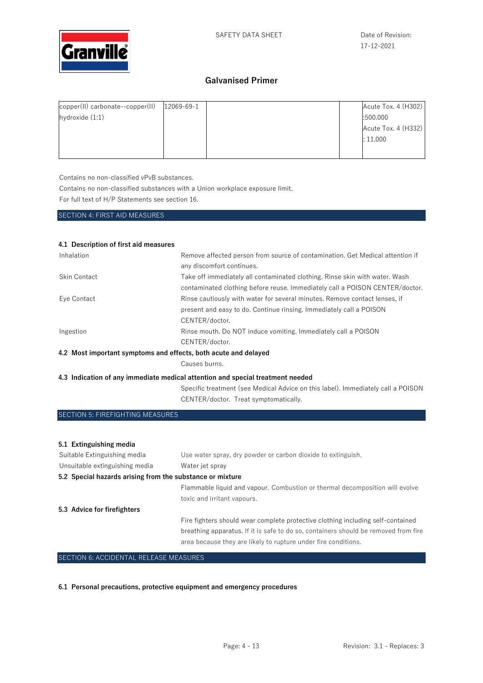

| copper(II) carbonate--copper(II) | 12069-69-1 |  | Acute Tox. 4 (H302) |
|----------------------------------|------------|--|---------------------|
| hydroxide $(1:1)$                |            |  | :500.000            |
|                                  |            |  | Acute Tox. 4 (H332) |
|                                  |            |  | : 11.000            |
|                                  |            |  |                     |
|                                  |            |  |                     |

Contains no non-classified vPvB substances.

Contains no non-classified substances with a Union workplace exposure limit.

For full text of H/P Statements see section 16.

SECTION 4: FIRST AID MEASURES

| 4.1 Description of first aid measures                           |                                                                                                                                                             |
|-----------------------------------------------------------------|-------------------------------------------------------------------------------------------------------------------------------------------------------------|
| Inhalation                                                      | Remove affected person from source of contamination. Get Medical attention if<br>any discomfort continues.                                                  |
| Skin Contact                                                    | Take off immediately all contaminated clothing. Rinse skin with water. Wash<br>contaminated clothing before reuse. Immediately call a POISON CENTER/doctor. |
| Eye Contact                                                     | Rinse cautiously with water for several minutes. Remove contact lenses, if                                                                                  |
|                                                                 | present and easy to do. Continue rinsing. Immediately call a POISON                                                                                         |
|                                                                 | CENTER/doctor.                                                                                                                                              |
| Ingestion                                                       | Rinse mouth. Do NOT induce vomiting. Immediately call a POISON                                                                                              |
|                                                                 | CENTER/doctor.                                                                                                                                              |
| 4.2 Most important symptoms and effects, both acute and delayed |                                                                                                                                                             |
|                                                                 | Causes burns.                                                                                                                                               |
|                                                                 | 4.3 Indication of any immediate medical attention and special treatment needed                                                                              |
|                                                                 | Specific treatment (see Medical Advice on this label). Immediately call a POISON                                                                            |
|                                                                 | CENTER/doctor. Treat symptomatically.                                                                                                                       |
| SECTION 5: FIREFIGHTING MEASURES                                |                                                                                                                                                             |

| 5.1 Extinguishing media                                   |                                                                                                                                                                        |
|-----------------------------------------------------------|------------------------------------------------------------------------------------------------------------------------------------------------------------------------|
| Suitable Extinguishing media                              | Use water spray, dry powder or carbon dioxide to extinguish.                                                                                                           |
| Unsuitable extinguishing media                            | Water jet spray                                                                                                                                                        |
| 5.2 Special hazards arising from the substance or mixture |                                                                                                                                                                        |
|                                                           | Flammable liquid and vapour. Combustion or thermal decomposition will evolve                                                                                           |
|                                                           | toxic and irritant vapours.                                                                                                                                            |
| 5.3 Advice for firefighters                               |                                                                                                                                                                        |
|                                                           | Fire fighters should wear complete protective clothing including self-contained<br>breathing apparatus. If it is safe to do so, containers should be removed from fire |
|                                                           | area because they are likely to rupture under fire conditions.                                                                                                         |

SECTION 6: ACCIDENTAL RELEASE MEASURES

**6.1 Personal precautions, protective equipment and emergency procedures**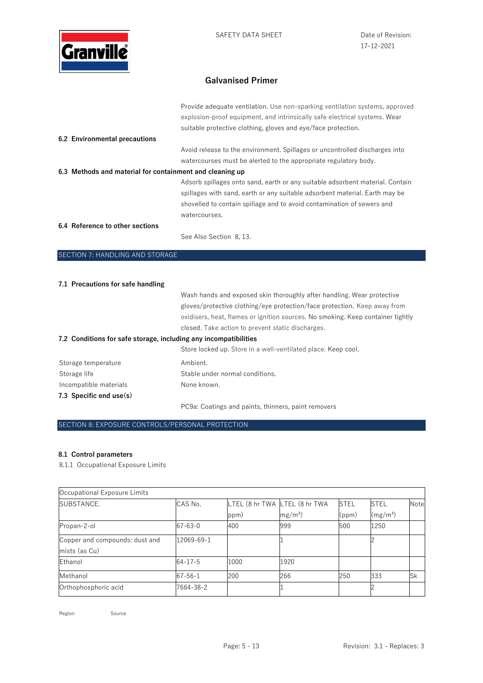

|                                                                  | Provide adequate ventilation. Use non-sparking ventilation systems, approved                                                                                                                                                                            |
|------------------------------------------------------------------|---------------------------------------------------------------------------------------------------------------------------------------------------------------------------------------------------------------------------------------------------------|
|                                                                  | explosion-proof equipment, and intrinsically safe electrical systems. Wear                                                                                                                                                                              |
|                                                                  | suitable protective clothing, gloves and eye/face protection.                                                                                                                                                                                           |
| 6.2 Environmental precautions                                    |                                                                                                                                                                                                                                                         |
|                                                                  | Avoid release to the environment. Spillages or uncontrolled discharges into                                                                                                                                                                             |
|                                                                  | watercourses must be alerted to the appropriate regulatory body.                                                                                                                                                                                        |
| 6.3 Methods and material for containment and cleaning up         |                                                                                                                                                                                                                                                         |
|                                                                  | Adsorb spillages onto sand, earth or any suitable adsorbent material. Contain<br>spillages with sand, earth or any suitable adsorbent material. Earth may be<br>shovelled to contain spillage and to avoid contamination of sewers and<br>watercourses. |
| 6.4 Reference to other sections                                  |                                                                                                                                                                                                                                                         |
|                                                                  | See Also Section 8, 13.                                                                                                                                                                                                                                 |
| SECTION 7: HANDLING AND STORAGE                                  |                                                                                                                                                                                                                                                         |
|                                                                  |                                                                                                                                                                                                                                                         |
| 7.1 Precautions for safe handling                                |                                                                                                                                                                                                                                                         |
|                                                                  | Wash hands and exposed skin thoroughly after handling. Wear protective                                                                                                                                                                                  |
|                                                                  | gloves/protective clothing/eye protection/face protection. Keep away from                                                                                                                                                                               |
|                                                                  | oxidisers, heat, flames or ignition sources. No smoking. Keep container tightly                                                                                                                                                                         |
|                                                                  | closed. Take action to prevent static discharges.                                                                                                                                                                                                       |
| 7.2 Conditions for safe storage, including any incompatibilities |                                                                                                                                                                                                                                                         |
|                                                                  | Store locked up. Store in a well-ventilated place. Keep cool.                                                                                                                                                                                           |

|                           | <u>Otoro roonog ap. Otoro in a won vontingtog piaoo. Hoop ood</u> |
|---------------------------|-------------------------------------------------------------------|
| Storage temperature       | Ambient.                                                          |
| Storage life              | Stable under normal conditions.                                   |
| Incompatible materials    | None known.                                                       |
| 7.3 Specific end $use(s)$ |                                                                   |
|                           |                                                                   |

PC9a: Coatings and paints, thinners, paint removers

### SECTION 8: EXPOSURE CONTROLS/PERSONAL PROTECTION

### **8.1 Control parameters**

8.1.1 Occupational Exposure Limits

| Occupational Exposure Limits   |               |      |                               |             |                      |           |
|--------------------------------|---------------|------|-------------------------------|-------------|----------------------|-----------|
| SUBSTANCE.                     | CAS No.       |      | LTEL (8 hr TWA LTEL (8 hr TWA | <b>STEL</b> | <b>STEL</b>          | Note      |
|                                |               | ppm) | $mg/m^3$ )                    | (ppm)       | (mg/m <sup>3</sup> ) |           |
| Propan-2-ol                    | $67 - 63 - 0$ | 400  | 999                           | 500         | 1250                 |           |
| Copper and compounds: dust and | 12069-69-1    |      |                               |             |                      |           |
| mists (as Cu)                  |               |      |                               |             |                      |           |
| Ethanol                        | $64 - 17 - 5$ | 1000 | 1920                          |             |                      |           |
| Methanol                       | $67 - 56 - 1$ | 200  | 266                           | 250         | 333                  | <b>Sk</b> |
| Orthophosphoric acid           | 7664-38-2     |      |                               |             |                      |           |

Region Source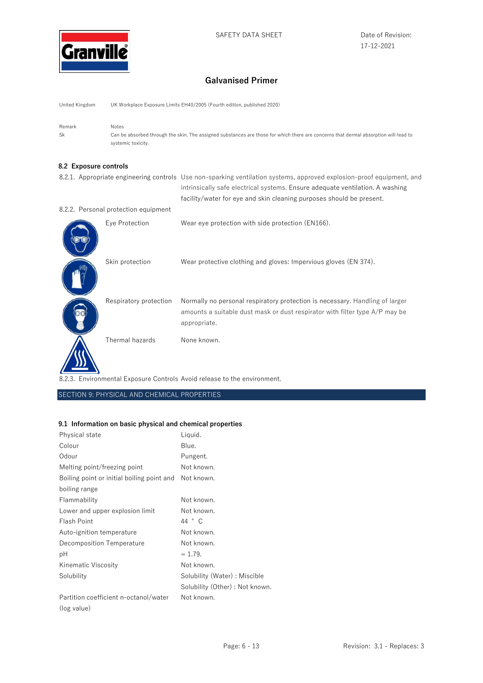

United Kingdom UK Workplace Exposure Limits EH40/2005 (Fourth edition, published 2020)

Remark Notes Sk Can be absorbed through the skin. The assigned substances are those for which there are concerns that dermal absorption will lead to systemic toxicity.

#### **8.2 Exposure controls**

|                                      | 8.2.1. Appropriate engineering controls Use non-sparking ventilation systems, approved explosion-proof equipment, and<br>intrinsically safe electrical systems. Ensure adequate ventilation. A washing<br>facility/water for eye and skin cleaning purposes should be present. |
|--------------------------------------|--------------------------------------------------------------------------------------------------------------------------------------------------------------------------------------------------------------------------------------------------------------------------------|
| 8.2.2. Personal protection equipment |                                                                                                                                                                                                                                                                                |
| Eye Protection                       | Wear eye protection with side protection (EN166).                                                                                                                                                                                                                              |
| Skin protection                      | Wear protective clothing and gloves: Impervious gloves (EN 374).                                                                                                                                                                                                               |
| Respiratory protection               | Normally no personal respiratory protection is necessary. Handling of larger<br>amounts a suitable dust mask or dust respirator with filter type A/P may be<br>appropriate.                                                                                                    |
| Thermal hazards                      | None known.                                                                                                                                                                                                                                                                    |

8.2.3. Environmental Exposure Controls Avoid release to the environment.

SECTION 9: PHYSICAL AND CHEMICAL PROPERTIES

#### **9.1 Information on basic physical and chemical properties**

| Physical state                             | Liquid.                         |
|--------------------------------------------|---------------------------------|
| Colour                                     | Blue.                           |
| Odour                                      | Pungent.                        |
| Melting point/freezing point               | Not known.                      |
| Boiling point or initial boiling point and | Not known.                      |
| boiling range                              |                                 |
| Flammability                               | Not known.                      |
| Lower and upper explosion limit            | Not known.                      |
| Flash Point                                | 44 ° C                          |
| Auto-ignition temperature                  | Not known.                      |
| Decomposition Temperature                  | Not known.                      |
| рH                                         | $= 1.79.$                       |
| Kinematic Viscosity                        | Not known.                      |
| Solubility                                 | Solubility (Water) : Miscible   |
|                                            | Solubility (Other) : Not known. |
| Partition coefficient n-octanol/water      | Not known.                      |
| (log value)                                |                                 |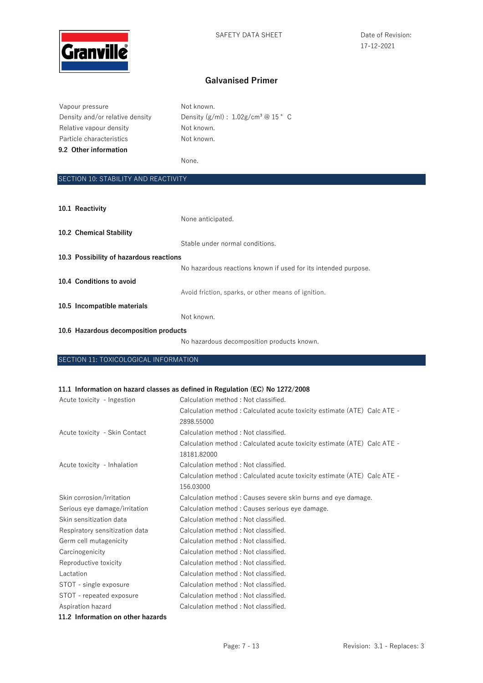

| Vapour pressure                 | Not known.                                        |
|---------------------------------|---------------------------------------------------|
| Density and/or relative density | Density $(g/ml)$ : 1.02g/cm <sup>3</sup> @ 15 ° C |
| Relative vapour density         | Not known.                                        |
| Particle characteristics        | Not known.                                        |
| 9.2 Other information           |                                                   |
|                                 | None.                                             |

## SECTION 10: STABILITY AND REACTIVITY

| 10.1 Reactivity                         |                                                                |
|-----------------------------------------|----------------------------------------------------------------|
|                                         | None anticipated.                                              |
| 10.2 Chemical Stability                 |                                                                |
|                                         | Stable under normal conditions.                                |
| 10.3 Possibility of hazardous reactions |                                                                |
|                                         | No hazardous reactions known if used for its intended purpose. |
| 10.4 Conditions to avoid                |                                                                |
|                                         | Avoid friction, sparks, or other means of ignition.            |
| 10.5 Incompatible materials             |                                                                |
|                                         | Not known.                                                     |
| 10.6 Hazardous decomposition products   |                                                                |
|                                         | No hazardous decomposition products known.                     |

SECTION 11: TOXICOLOGICAL INFORMATION

#### **11.1 Information on hazard classes as defined in Regulation (EC) No 1272/2008**

| Acute toxicity - Ingestion     | Calculation method: Not classified.                                     |
|--------------------------------|-------------------------------------------------------------------------|
|                                | Calculation method: Calculated acute toxicity estimate (ATE) Calc ATE - |
|                                | 2898.55000                                                              |
| Acute toxicity - Skin Contact  | Calculation method: Not classified.                                     |
|                                | Calculation method: Calculated acute toxicity estimate (ATE) Calc ATE - |
|                                | 18181.82000                                                             |
| Acute toxicity - Inhalation    | Calculation method: Not classified.                                     |
|                                | Calculation method: Calculated acute toxicity estimate (ATE) Calc ATE - |
|                                | 156.03000                                                               |
| Skin corrosion/irritation      | Calculation method : Causes severe skin burns and eye damage.           |
| Serious eye damage/irritation  | Calculation method : Causes serious eye damage.                         |
| Skin sensitization data        | Calculation method : Not classified.                                    |
| Respiratory sensitization data | Calculation method: Not classified.                                     |
| Germ cell mutagenicity         | Calculation method: Not classified.                                     |
| Carcinogenicity                | Calculation method: Not classified.                                     |
| Reproductive toxicity          | Calculation method: Not classified.                                     |
| Lactation                      | Calculation method: Not classified.                                     |
| STOT - single exposure         | Calculation method: Not classified.                                     |
| STOT - repeated exposure       | Calculation method: Not classified.                                     |
| Aspiration hazard              | Calculation method: Not classified.                                     |
|                                |                                                                         |

**11.2 Information on other hazards**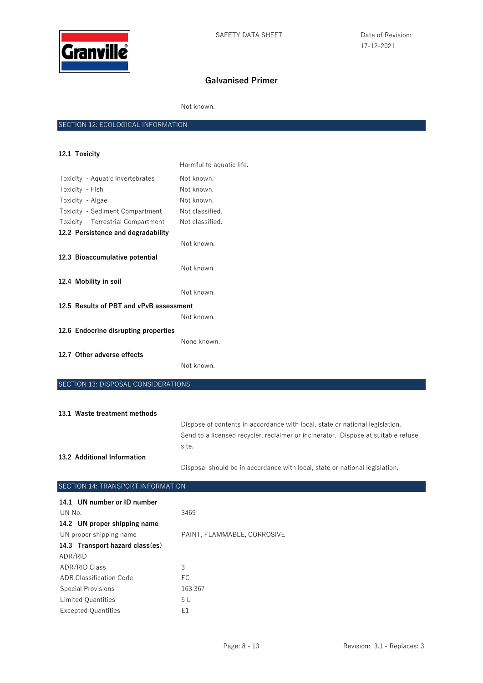

Not known.

## SECTION 12: ECOLOGICAL INFORMATION

| 12.1 Toxicity                           |                          |  |
|-----------------------------------------|--------------------------|--|
|                                         | Harmful to aquatic life. |  |
| Toxicity - Aquatic invertebrates        | Not known.               |  |
| Toxicity - Fish                         | Not known.               |  |
| Toxicity - Algae                        | Not known.               |  |
| Toxicity - Sediment Compartment         | Not classified.          |  |
| Toxicity - Terrestrial Compartment      | Not classified.          |  |
| 12.2 Persistence and degradability      |                          |  |
|                                         | Not known.               |  |
| 12.3 Bioaccumulative potential          |                          |  |
|                                         | Not known.               |  |
| 12.4 Mobility in soil                   |                          |  |
|                                         | Not known.               |  |
| 12.5 Results of PBT and vPvB assessment |                          |  |
|                                         | Not known.               |  |
| 12.6 Endocrine disrupting properties    |                          |  |
|                                         | None known.              |  |
| 12.7 Other adverse effects              |                          |  |
|                                         | Not known.               |  |

SECTION 13: DISPOSAL CONSIDERATIONS

| 13.1 Waste treatment methods |                                                                                   |
|------------------------------|-----------------------------------------------------------------------------------|
|                              | Dispose of contents in accordance with local, state or national legislation.      |
|                              | Send to a licensed recycler, reclaimer or incinerator. Dispose at suitable refuse |
|                              | site.                                                                             |
| 13.2 Additional Information  |                                                                                   |
|                              | Disposal should be in accordance with local, state or national legislation.       |

| SECTION 14: TRANSPORT INFORMATION |                             |  |
|-----------------------------------|-----------------------------|--|
| 14.1 UN number or ID number       |                             |  |
| UN No.                            | 3469                        |  |
| 14.2 UN proper shipping name      |                             |  |
| UN proper shipping name           | PAINT, FLAMMABLE, CORROSIVE |  |
| 14.3 Transport hazard class(es)   |                             |  |
| ADR/RID                           |                             |  |
| <b>ADR/RID Class</b>              | 3                           |  |
| ADR Classification Code           | FC.                         |  |
| <b>Special Provisions</b>         | 163 367                     |  |
| <b>Limited Quantities</b>         | 5 L                         |  |
| <b>Excepted Quantities</b>        | E1                          |  |
|                                   |                             |  |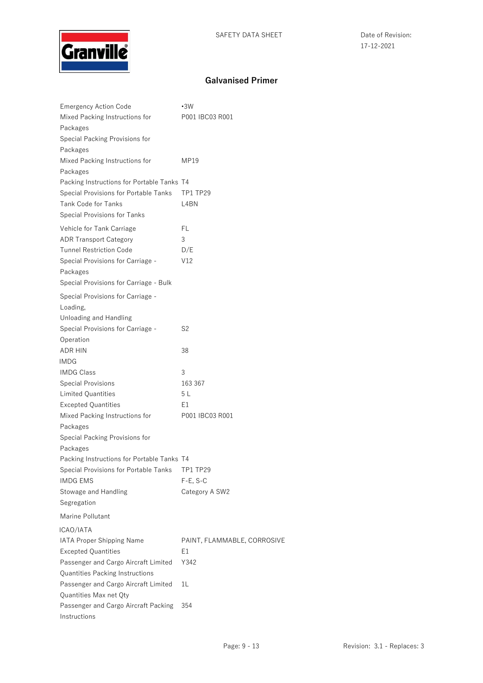

| <b>Emergency Action Code</b>               | $\cdot$ 3W                  |
|--------------------------------------------|-----------------------------|
| Mixed Packing Instructions for             | P001 IBC03 R001             |
| Packages                                   |                             |
| Special Packing Provisions for             |                             |
| Packages                                   |                             |
| Mixed Packing Instructions for             | MP19                        |
| Packages                                   |                             |
| Packing Instructions for Portable Tanks T4 |                             |
| Special Provisions for Portable Tanks      | <b>TP1 TP29</b>             |
| <b>Tank Code for Tanks</b>                 | L4BN                        |
| Special Provisions for Tanks               |                             |
| Vehicle for Tank Carriage                  | FL                          |
| <b>ADR Transport Category</b>              | 3                           |
| <b>Tunnel Restriction Code</b>             | D/E                         |
| Special Provisions for Carriage -          | V12                         |
| Packages                                   |                             |
| Special Provisions for Carriage - Bulk     |                             |
| Special Provisions for Carriage -          |                             |
| Loading,                                   |                             |
| Unloading and Handling                     |                             |
| Special Provisions for Carriage -          | S <sub>2</sub>              |
| Operation                                  |                             |
| <b>ADR HIN</b>                             | 38                          |
| IMDG                                       |                             |
| <b>IMDG Class</b>                          | 3                           |
| <b>Special Provisions</b>                  | 163 367                     |
| Limited Quantities                         | 5 L                         |
| <b>Excepted Quantities</b>                 | E1                          |
| Mixed Packing Instructions for             | P001 IBC03 R001             |
| Packages                                   |                             |
| Special Packing Provisions for             |                             |
| Packages                                   |                             |
| Packing Instructions for Portable Tanks T4 |                             |
| Special Provisions for Portable Tanks      | TP1 TP29                    |
| <b>IMDG EMS</b>                            | $F-E$ , S-C                 |
| Stowage and Handling                       | Category A SW2              |
| Segregation                                |                             |
| Marine Pollutant                           |                             |
| ICAO/IATA                                  |                             |
| IATA Proper Shipping Name                  | PAINT, FLAMMABLE, CORROSIVE |
| <b>Excepted Quantities</b>                 | E1                          |
| Passenger and Cargo Aircraft Limited       | Y342                        |
| Quantities Packing Instructions            |                             |
| Passenger and Cargo Aircraft Limited       | 1L                          |
| Quantities Max net Qty                     |                             |
| Passenger and Cargo Aircraft Packing       |                             |
| Instructions                               | 354                         |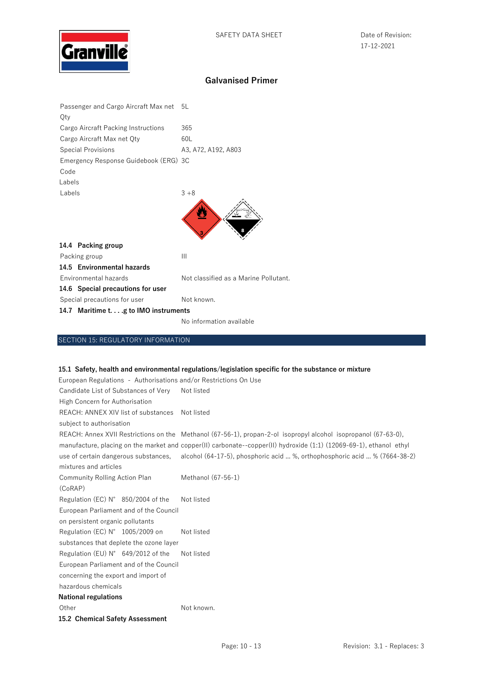

| Qty    | Passenger and Cargo Aircraft Max net 5L |                                       |
|--------|-----------------------------------------|---------------------------------------|
|        | Cargo Aircraft Packing Instructions     | 365                                   |
|        | Cargo Aircraft Max net Qty              | 60L                                   |
|        | <b>Special Provisions</b>               | A3, A72, A192, A803                   |
|        | Emergency Response Guidebook (ERG) 3C   |                                       |
| Code   |                                         |                                       |
| Labels |                                         |                                       |
| Labels |                                         | $3 + 8$                               |
|        |                                         |                                       |
|        | 14.4 Packing group                      |                                       |
|        | Packing group                           | Ш                                     |
|        | 14.5 Environmental hazards              |                                       |
|        | Environmental hazards                   | Not classified as a Marine Pollutant. |
|        | 14.6 Special precautions for user       |                                       |
|        | Special precautions for user            | Not known.                            |
|        | 14.7 Maritime t.g to IMO instruments    |                                       |

No information available

## SECTION 15: REGULATORY INFORMATION

### **15.1 Safety, health and environmental regulations/legislation specific for the substance or mixture**

| European Regulations - Authorisations and/or Restrictions On Use |                                                                                                                     |
|------------------------------------------------------------------|---------------------------------------------------------------------------------------------------------------------|
| Candidate List of Substances of Very                             | Not listed                                                                                                          |
| High Concern for Authorisation                                   |                                                                                                                     |
| REACH: ANNEX XIV list of substances                              | Not listed                                                                                                          |
| subject to authorisation                                         |                                                                                                                     |
|                                                                  | REACH: Annex XVII Restrictions on the Methanol (67-56-1), propan-2-ol isopropyl alcohol isopropanol (67-63-0),      |
|                                                                  | manufacture, placing on the market and copper(II) carbonate--copper(II) hydroxide (1:1) (12069-69-1), ethanol ethyl |
|                                                                  | use of certain dangerous substances, alcohol (64-17-5), phosphoric acid  %, orthophosphoric acid  % (7664-38-2)     |
| mixtures and articles                                            |                                                                                                                     |
| <b>Community Rolling Action Plan</b>                             | Methanol (67-56-1)                                                                                                  |
| (CoRAP)                                                          |                                                                                                                     |
| Regulation (EC) N° 850/2004 of the                               | Not listed                                                                                                          |
| European Parliament and of the Council                           |                                                                                                                     |
| on persistent organic pollutants                                 |                                                                                                                     |
| Regulation (EC) N° 1005/2009 on                                  | Not listed                                                                                                          |
| substances that deplete the ozone layer                          |                                                                                                                     |
| Regulation (EU) $N^{\circ}$ 649/2012 of the                      | Not listed                                                                                                          |
| European Parliament and of the Council                           |                                                                                                                     |
| concerning the export and import of                              |                                                                                                                     |
| hazardous chemicals                                              |                                                                                                                     |
| <b>National regulations</b>                                      |                                                                                                                     |
| Other                                                            | Not known.                                                                                                          |
| 15.2 Chemical Safety Assessment                                  |                                                                                                                     |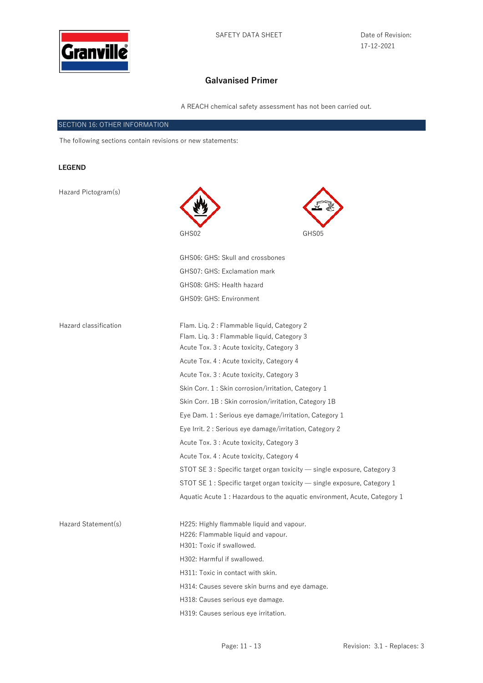

17-12-2021

# **Galvanised Primer**

A REACH chemical safety assessment has not been carried out.

### SECTION 16: OTHER INFORMATION

The following sections contain revisions or new statements:

### **LEGEND**

| Hazard Pictogram(s)   |                                                                                                                                       |                                                                           |  |
|-----------------------|---------------------------------------------------------------------------------------------------------------------------------------|---------------------------------------------------------------------------|--|
|                       | GHS02                                                                                                                                 | GHS05                                                                     |  |
|                       | GHS06: GHS: Skull and crossbones                                                                                                      |                                                                           |  |
|                       | GHS07: GHS: Exclamation mark                                                                                                          |                                                                           |  |
|                       | GHS08: GHS: Health hazard                                                                                                             |                                                                           |  |
|                       | GHS09: GHS: Environment                                                                                                               |                                                                           |  |
| Hazard classification | Flam. Lig. 2: Flammable liquid, Category 2<br>Flam. Lig. 3: Flammable liquid, Category 3<br>Acute Tox. 3 : Acute toxicity, Category 3 |                                                                           |  |
|                       | Acute Tox. 4 : Acute toxicity, Category 4                                                                                             |                                                                           |  |
|                       | Acute Tox. 3 : Acute toxicity, Category 3                                                                                             |                                                                           |  |
|                       | Skin Corr. 1: Skin corrosion/irritation, Category 1                                                                                   |                                                                           |  |
|                       |                                                                                                                                       | Skin Corr. 1B: Skin corrosion/irritation, Category 1B                     |  |
|                       |                                                                                                                                       | Eye Dam. 1 : Serious eye damage/irritation, Category 1                    |  |
|                       |                                                                                                                                       | Eye Irrit. 2 : Serious eye damage/irritation, Category 2                  |  |
|                       | Acute Tox. 3 : Acute toxicity, Category 3                                                                                             |                                                                           |  |
|                       | Acute Tox. 4 : Acute toxicity, Category 4                                                                                             |                                                                           |  |
|                       |                                                                                                                                       | STOT SE 3 : Specific target organ toxicity — single exposure, Category 3  |  |
|                       |                                                                                                                                       | STOT SE 1 : Specific target organ toxicity — single exposure, Category 1  |  |
|                       |                                                                                                                                       | Aquatic Acute 1 : Hazardous to the aquatic environment, Acute, Category 1 |  |
| Hazard Statement(s)   | H225: Highly flammable liquid and vapour.<br>H226: Flammable liquid and vapour.<br>H301: Toxic if swallowed.                          |                                                                           |  |
|                       | H302: Harmful if swallowed.                                                                                                           |                                                                           |  |
|                       | H311: Toxic in contact with skin.                                                                                                     |                                                                           |  |
|                       | H314: Causes severe skin burns and eye damage.                                                                                        |                                                                           |  |
|                       | H318: Causes serious eye damage.                                                                                                      |                                                                           |  |

H319: Causes serious eye irritation.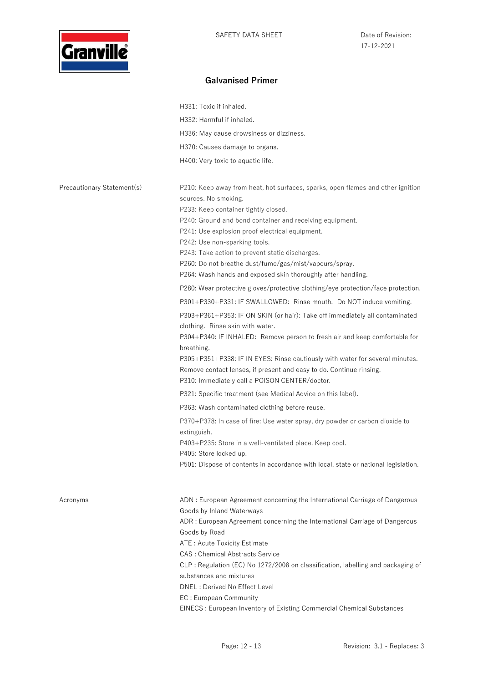

|                            | H331: Toxic if inhaled.                                                                                                                                                                                                                                                                                                                                                                                      |
|----------------------------|--------------------------------------------------------------------------------------------------------------------------------------------------------------------------------------------------------------------------------------------------------------------------------------------------------------------------------------------------------------------------------------------------------------|
|                            | H332: Harmful if inhaled.                                                                                                                                                                                                                                                                                                                                                                                    |
|                            | H336: May cause drowsiness or dizziness.                                                                                                                                                                                                                                                                                                                                                                     |
|                            | H370: Causes damage to organs.                                                                                                                                                                                                                                                                                                                                                                               |
|                            | H400: Very toxic to aquatic life.                                                                                                                                                                                                                                                                                                                                                                            |
|                            |                                                                                                                                                                                                                                                                                                                                                                                                              |
| Precautionary Statement(s) | P210: Keep away from heat, hot surfaces, sparks, open flames and other ignition<br>sources. No smoking.<br>P233: Keep container tightly closed.<br>P240: Ground and bond container and receiving equipment.<br>P241: Use explosion proof electrical equipment.<br>P242: Use non-sparking tools.<br>P243: Take action to prevent static discharges.<br>P260: Do not breathe dust/fume/gas/mist/vapours/spray. |
|                            | P264: Wash hands and exposed skin thoroughly after handling.                                                                                                                                                                                                                                                                                                                                                 |
|                            | P280: Wear protective gloves/protective clothing/eye protection/face protection.                                                                                                                                                                                                                                                                                                                             |
|                            | P301+P330+P331: IF SWALLOWED: Rinse mouth. Do NOT induce vomiting.                                                                                                                                                                                                                                                                                                                                           |
|                            | P303+P361+P353: IF ON SKIN (or hair): Take off immediately all contaminated<br>clothing. Rinse skin with water.<br>P304+P340: IF INHALED: Remove person to fresh air and keep comfortable for                                                                                                                                                                                                                |
|                            | breathing.<br>P305+P351+P338: IF IN EYES: Rinse cautiously with water for several minutes.<br>Remove contact lenses, if present and easy to do. Continue rinsing.<br>P310: Immediately call a POISON CENTER/doctor.                                                                                                                                                                                          |
|                            | P321: Specific treatment (see Medical Advice on this label).                                                                                                                                                                                                                                                                                                                                                 |
|                            | P363: Wash contaminated clothing before reuse.                                                                                                                                                                                                                                                                                                                                                               |
|                            | P370+P378: In case of fire: Use water spray, dry powder or carbon dioxide to<br>extinguish.<br>P403+P235: Store in a well-ventilated place. Keep cool.<br>P405: Store locked up.<br>P501: Dispose of contents in accordance with local, state or national legislation.                                                                                                                                       |
| Acronyms                   | ADN: European Agreement concerning the International Carriage of Dangerous                                                                                                                                                                                                                                                                                                                                   |
|                            | Goods by Inland Waterways<br>ADR: European Agreement concerning the International Carriage of Dangerous<br>Goods by Road                                                                                                                                                                                                                                                                                     |
|                            | ATE: Acute Toxicity Estimate                                                                                                                                                                                                                                                                                                                                                                                 |
|                            | <b>CAS</b> : Chemical Abstracts Service                                                                                                                                                                                                                                                                                                                                                                      |
|                            | CLP: Regulation (EC) No 1272/2008 on classification, labelling and packaging of                                                                                                                                                                                                                                                                                                                              |
|                            | substances and mixtures                                                                                                                                                                                                                                                                                                                                                                                      |
|                            | DNEL : Derived No Effect Level                                                                                                                                                                                                                                                                                                                                                                               |
|                            | EC: European Community                                                                                                                                                                                                                                                                                                                                                                                       |
|                            | EINECS: European Inventory of Existing Commercial Chemical Substances                                                                                                                                                                                                                                                                                                                                        |